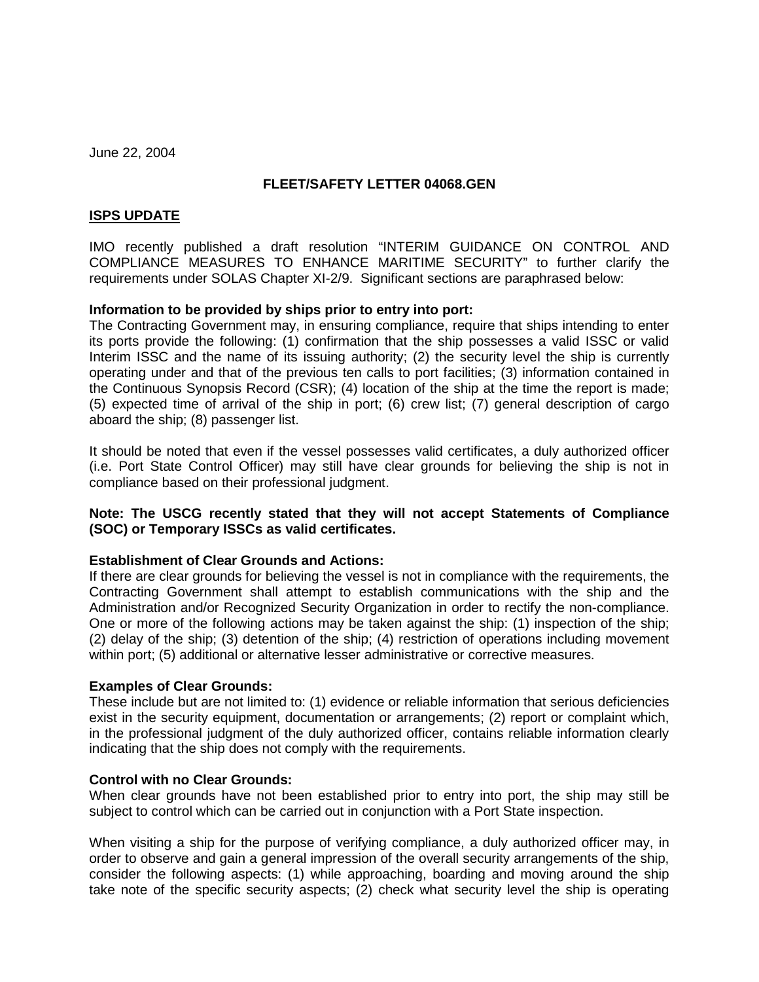June 22, 2004

# **FLEET/SAFETY LETTER 04068.GEN**

## **ISPS UPDATE**

IMO recently published a draft resolution "INTERIM GUIDANCE ON CONTROL AND COMPLIANCE MEASURES TO ENHANCE MARITIME SECURITY" to further clarify the requirements under SOLAS Chapter XI-2/9. Significant sections are paraphrased below:

## **Information to be provided by ships prior to entry into port:**

The Contracting Government may, in ensuring compliance, require that ships intending to enter its ports provide the following: (1) confirmation that the ship possesses a valid ISSC or valid Interim ISSC and the name of its issuing authority; (2) the security level the ship is currently operating under and that of the previous ten calls to port facilities; (3) information contained in the Continuous Synopsis Record (CSR); (4) location of the ship at the time the report is made; (5) expected time of arrival of the ship in port; (6) crew list; (7) general description of cargo aboard the ship; (8) passenger list.

It should be noted that even if the vessel possesses valid certificates, a duly authorized officer (i.e. Port State Control Officer) may still have clear grounds for believing the ship is not in compliance based on their professional judgment.

# **Note: The USCG recently stated that they will not accept Statements of Compliance (SOC) or Temporary ISSCs as valid certificates.**

## **Establishment of Clear Grounds and Actions:**

If there are clear grounds for believing the vessel is not in compliance with the requirements, the Contracting Government shall attempt to establish communications with the ship and the Administration and/or Recognized Security Organization in order to rectify the non-compliance. One or more of the following actions may be taken against the ship: (1) inspection of the ship; (2) delay of the ship; (3) detention of the ship; (4) restriction of operations including movement within port; (5) additional or alternative lesser administrative or corrective measures.

## **Examples of Clear Grounds:**

These include but are not limited to: (1) evidence or reliable information that serious deficiencies exist in the security equipment, documentation or arrangements; (2) report or complaint which, in the professional judgment of the duly authorized officer, contains reliable information clearly indicating that the ship does not comply with the requirements.

## **Control with no Clear Grounds:**

When clear grounds have not been established prior to entry into port, the ship may still be subject to control which can be carried out in conjunction with a Port State inspection.

When visiting a ship for the purpose of verifying compliance, a duly authorized officer may, in order to observe and gain a general impression of the overall security arrangements of the ship, consider the following aspects: (1) while approaching, boarding and moving around the ship take note of the specific security aspects; (2) check what security level the ship is operating